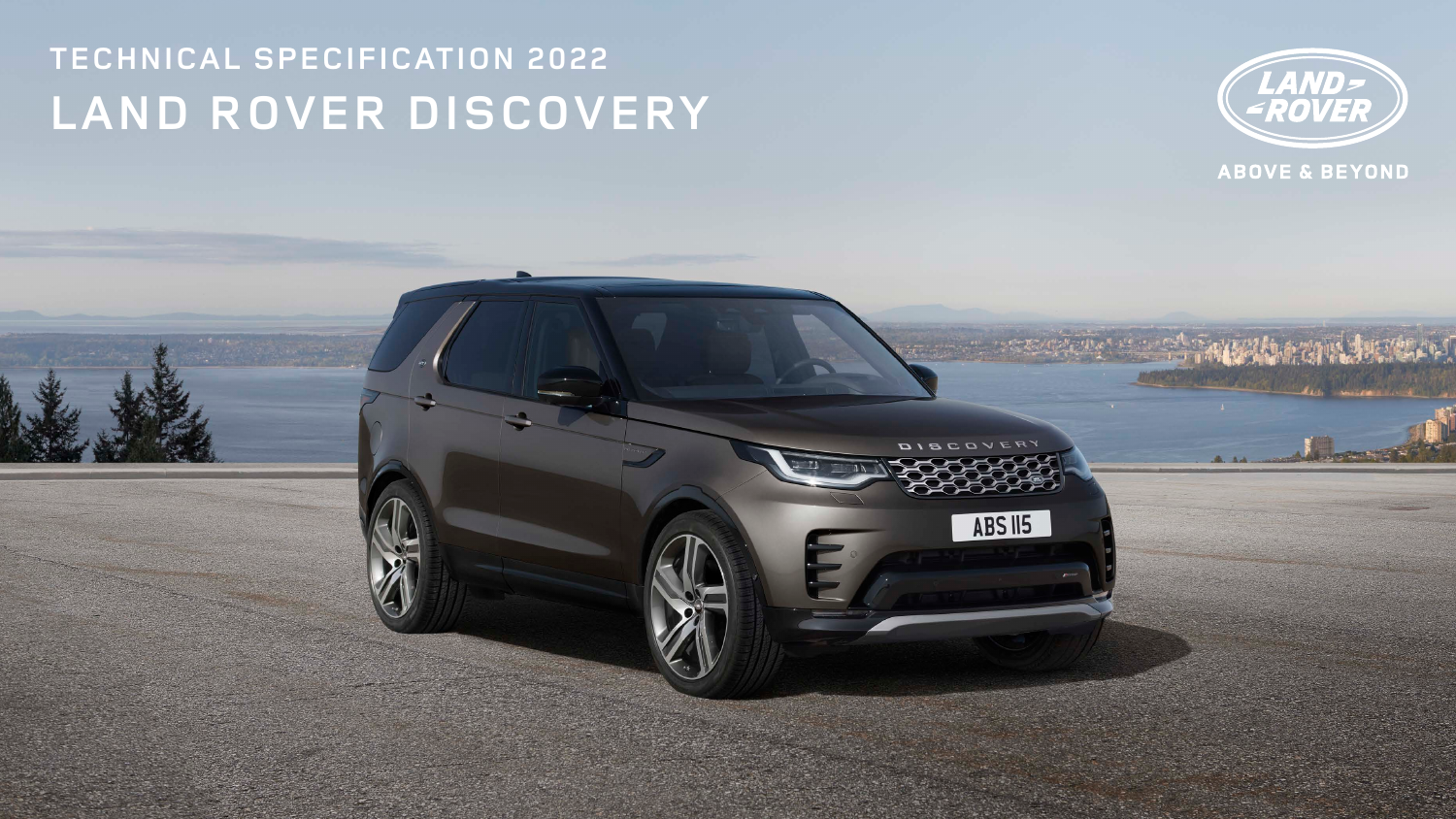# **TECHNICAL SPECIFICATION 2022 LAND ROVER DISCOVERY**



# **ABOVE & BEYOND**

ABS II5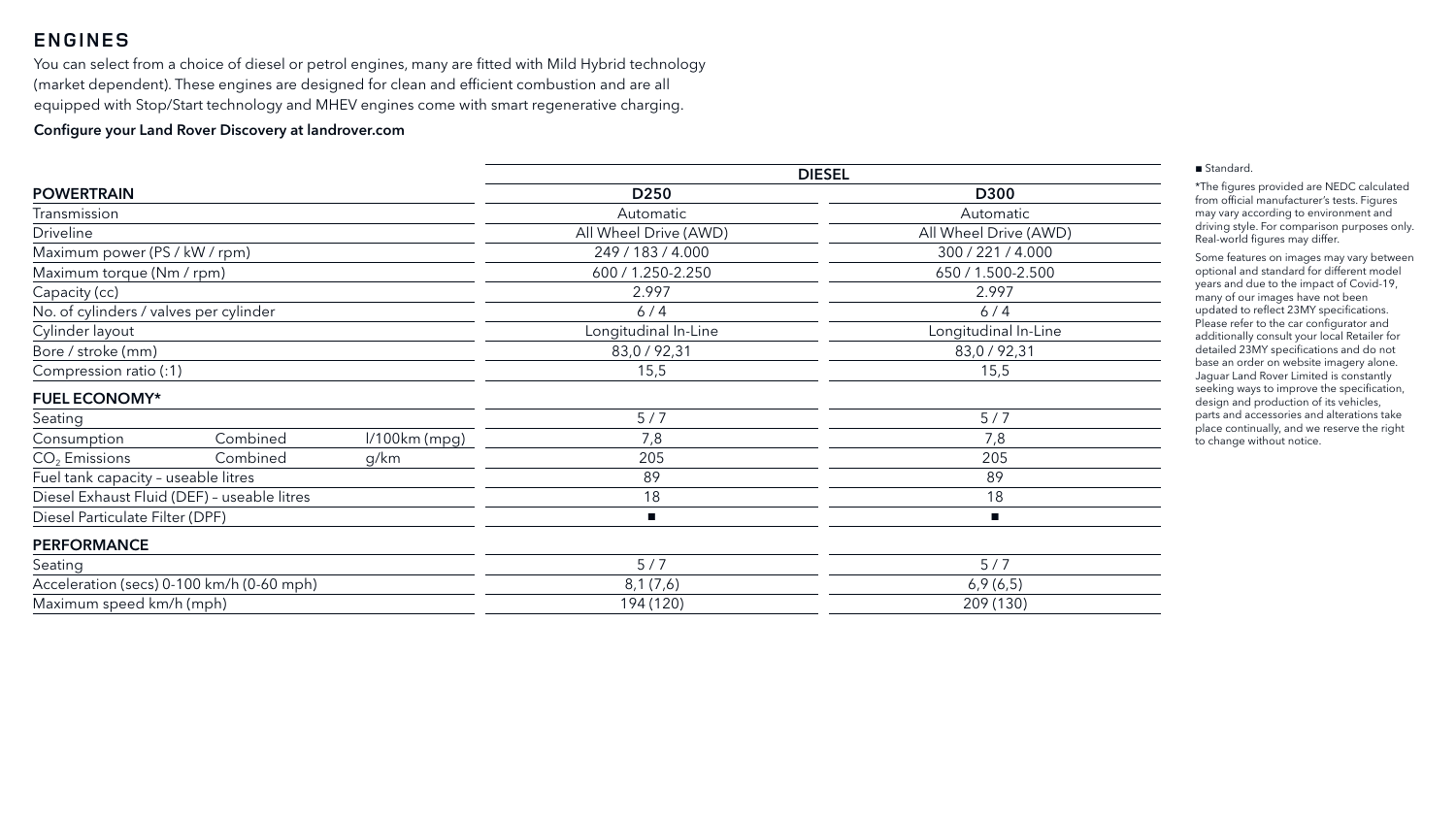|                                        |                                             |                 |                       | <b>DIESEL</b>         |
|----------------------------------------|---------------------------------------------|-----------------|-----------------------|-----------------------|
| <b>POWERTRAIN</b>                      |                                             |                 | D <sub>250</sub>      | <b>D300</b>           |
| Transmission                           |                                             |                 | Automatic             | Automatic             |
| <b>Driveline</b>                       |                                             |                 | All Wheel Drive (AWD) | All Wheel Drive (AWD) |
| Maximum power (PS / kW / rpm)          |                                             |                 | 249 / 183 / 4.000     | 300 / 221 / 4.000     |
| Maximum torque (Nm / rpm)              |                                             |                 | 600 / 1.250-2.250     | 650 / 1.500-2.500     |
| Capacity (cc)                          |                                             |                 | 2.997                 | 2.997                 |
| No. of cylinders / valves per cylinder |                                             |                 | 6/4                   | 6/4                   |
| Cylinder layout                        |                                             |                 | Longitudinal In-Line  | Longitudinal In-Line  |
| Bore / stroke (mm)                     |                                             |                 | 83,0 / 92,31          | 83,0 / 92,31          |
| Compression ratio (:1)                 |                                             |                 | 15,5                  | 15,5                  |
| <b>FUEL ECONOMY*</b>                   |                                             |                 |                       |                       |
| Seating                                |                                             |                 | 5/7                   | 5/7                   |
| Consumption                            | Combined                                    | $1/100km$ (mpg) | 7,8                   | 7,8                   |
| $CO2$ Emissions                        | Combined                                    | g/km            | 205                   | 205                   |
| Fuel tank capacity - useable litres    |                                             |                 | 89                    | 89                    |
|                                        | Diesel Exhaust Fluid (DEF) - useable litres |                 | 18                    | 18                    |
| Diesel Particulate Filter (DPF)        |                                             |                 | $\blacksquare$        | п                     |
| <b>PERFORMANCE</b>                     |                                             |                 |                       |                       |
| Seating                                |                                             |                 | 5/7                   | 5/7                   |
|                                        | Acceleration (secs) 0-100 km/h (0-60 mph)   |                 | 8,1(7,6)              | 6,9(6,5)              |
| Maximum speed km/h (mph)               |                                             |                 | 194 (120)             | 209 (130)             |

| <b>0300</b>     |
|-----------------|
| tomatic         |
| Drive (AWD)     |
| 221/4.000       |
| .500-2.500      |
| 2.997           |
| 6/4             |
| dinal In-Line   |
| ) / 92,31       |
| 15,5            |
|                 |
| 5/7             |
| 7,8             |
| 205             |
| -89             |
| 18              |
|                 |
|                 |
| $\frac{5/7}{7}$ |
| 9(6,5)          |
| 0/1201          |

#### ■ Standard.

\*The figures provided are NEDC calculated from official manufacturer's tests. Figures may vary according to environment and driving style. For comparison purposes only. Real-world figures may differ.

Some features on images may vary between optional and standard for different model years and due to the impact of Covid-19, many of our images have not been updated to reflect 23MY specifications. Please refer to the car configurator and additionally consult your local Retailer for detailed 23MY specifications and do not base an order on website imagery alone. Jaguar Land Rover Limited is constantly seeking ways to improve the specification, design and production of its vehicles, parts and accessories and alterations take place continually, and we reserve the right to change without notice.

# **ENGINES**

You can select from a choice of diesel or petrol engines, many are fitted with Mild Hybrid technology (market dependent). These engines are designed for clean and efficient combustion and are all equipped with Stop/Start technology and MHEV engines come with smart regenerative charging.

#### Configure your Land Rover Discovery at landrover.com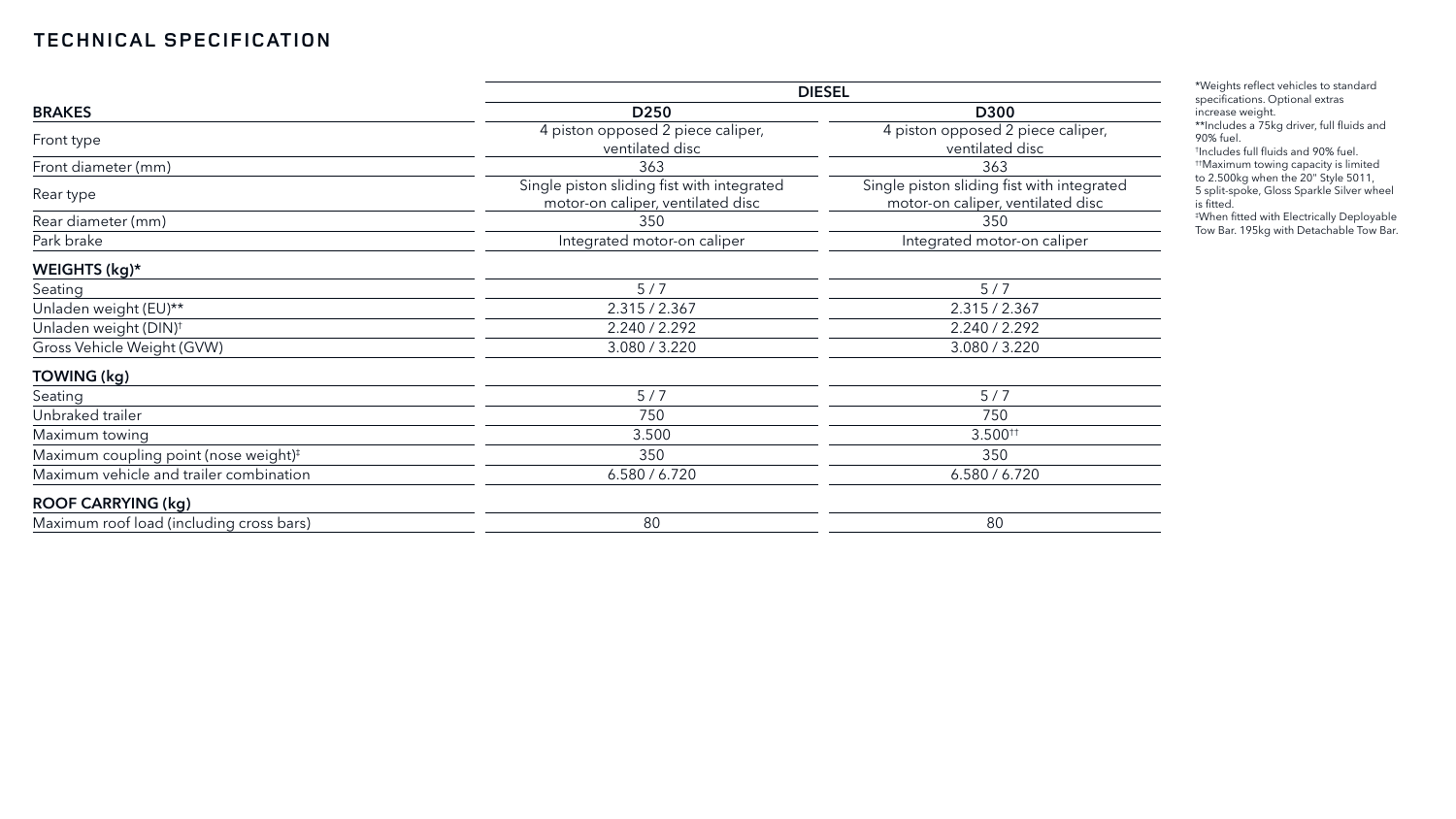|                                                   | <b>DIESEL</b>                                                                   |                                                                                 |  |  |
|---------------------------------------------------|---------------------------------------------------------------------------------|---------------------------------------------------------------------------------|--|--|
| <b>BRAKES</b>                                     | D <sub>250</sub>                                                                | <b>D300</b>                                                                     |  |  |
| Front type                                        | 4 piston opposed 2 piece caliper,<br>ventilated disc                            | 4 piston opposed 2 piece caliper,<br>ventilated disc                            |  |  |
| Front diameter (mm)                               | 363                                                                             | 363                                                                             |  |  |
| Rear type                                         | Single piston sliding fist with integrated<br>motor-on caliper, ventilated disc | Single piston sliding fist with integrated<br>motor-on caliper, ventilated disc |  |  |
| Rear diameter (mm)                                | 350                                                                             | 350                                                                             |  |  |
| Park brake                                        | Integrated motor-on caliper                                                     | Integrated motor-on caliper                                                     |  |  |
| WEIGHTS (kg)*                                     |                                                                                 |                                                                                 |  |  |
| Seating                                           | 5/7                                                                             | 5/7                                                                             |  |  |
| Unladen weight (EU)**                             | 2.315 / 2.367                                                                   | 2.315 / 2.367                                                                   |  |  |
| Unladen weight (DIN) <sup>+</sup>                 | 2.240 / 2.292                                                                   | 2.240 / 2.292                                                                   |  |  |
| Gross Vehicle Weight (GVW)                        | 3.080 / 3.220                                                                   | 3.080 / 3.220                                                                   |  |  |
| TOWING (kg)                                       |                                                                                 |                                                                                 |  |  |
| Seating                                           | 5/7                                                                             | 5/7                                                                             |  |  |
| Unbraked trailer                                  | 750                                                                             | 750                                                                             |  |  |
| Maximum towing                                    | 3.500                                                                           | $3.500^{++}$                                                                    |  |  |
| Maximum coupling point (nose weight) <sup>#</sup> | 350                                                                             | 350                                                                             |  |  |
| Maximum vehicle and trailer combination           | 6.580 / 6.720                                                                   | 6.580 / 6.720                                                                   |  |  |
| <b>ROOF CARRYING (kg)</b>                         |                                                                                 |                                                                                 |  |  |
| Maximum roof load (including cross bars)          | 80                                                                              | 80                                                                              |  |  |

\*Weights reflect vehicles to standard specifications. Optional extras increase weight.

\*\*Includes a 75kg driver, full fluids and 90% fuel.

† Includes full fluids and 90% fuel. ††Maximum towing capacity is limited

to 2.500kg when the 20" Style 5011,

5 split-spoke, Gloss Sparkle Silver wheel is fitted.

‡ When fitted with Electrically Deployable Tow Bar. 195kg with Detachable Tow Bar.

# **TECHNICAL SPECIFICATION**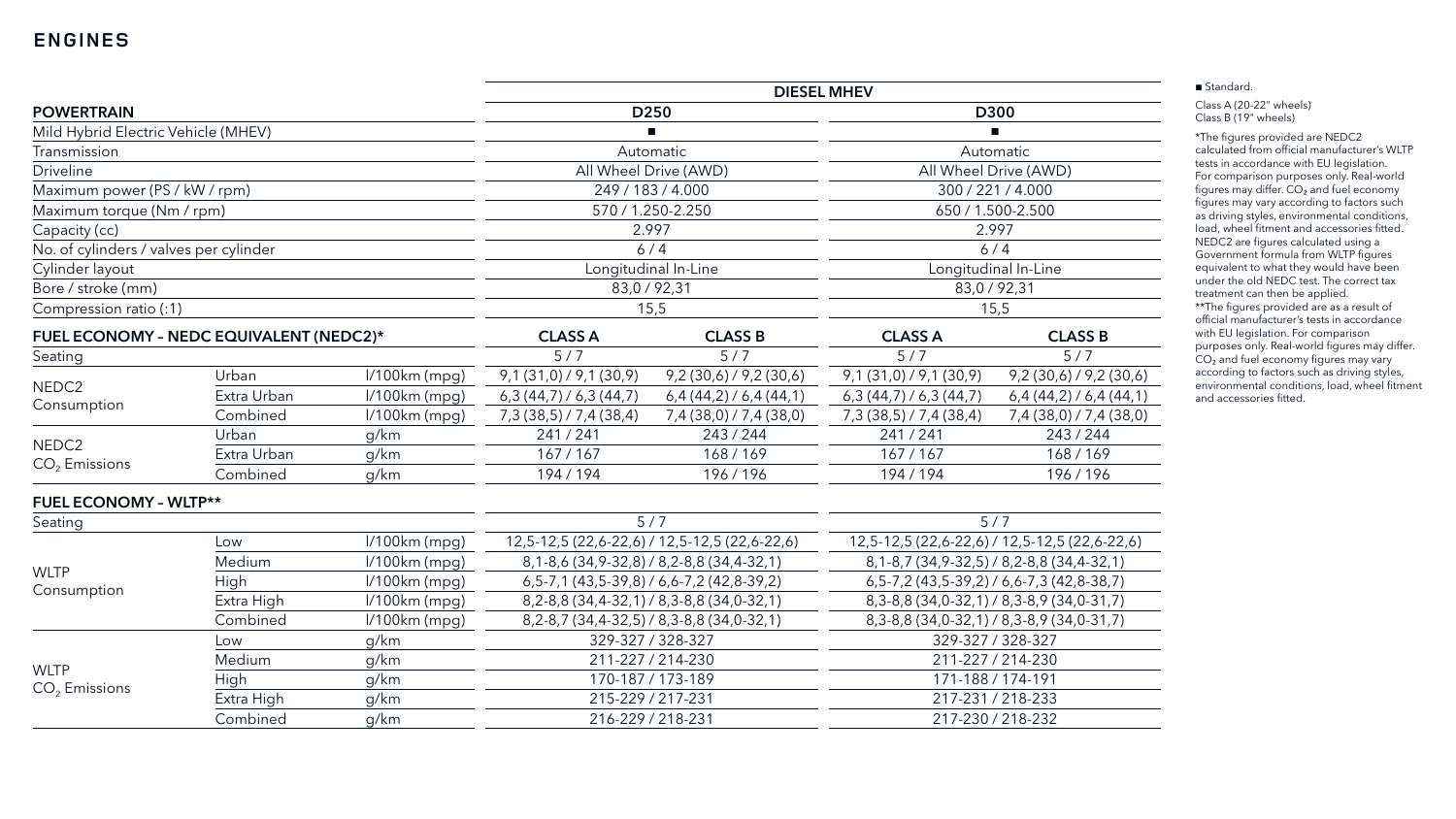# **ENGINES**

|                                        |                                         |                  | <b>DIESEL MHEV</b>                                |                                                           |                                                     |                                                   |  |
|----------------------------------------|-----------------------------------------|------------------|---------------------------------------------------|-----------------------------------------------------------|-----------------------------------------------------|---------------------------------------------------|--|
| <b>POWERTRAIN</b>                      |                                         | D <sub>250</sub> |                                                   | D300                                                      |                                                     |                                                   |  |
| Mild Hybrid Electric Vehicle (MHEV)    |                                         |                  |                                                   |                                                           |                                                     |                                                   |  |
| Transmission                           |                                         |                  |                                                   | Automatic                                                 |                                                     | Automatic                                         |  |
| <b>Driveline</b>                       |                                         |                  |                                                   | All Wheel Drive (AWD)                                     | All Wheel Drive (AWD)                               |                                                   |  |
| Maximum power (PS / kW / rpm)          |                                         |                  | 249 / 183 / 4.000                                 |                                                           |                                                     | 300 / 221 / 4.000                                 |  |
| Maximum torque (Nm / rpm)              |                                         |                  |                                                   | 570 / 1.250-2.250                                         |                                                     | 650 / 1.500-2.500                                 |  |
| Capacity (cc)                          |                                         |                  | 2.997                                             |                                                           |                                                     | 2.997                                             |  |
| No. of cylinders / valves per cylinder |                                         |                  | 6/4                                               |                                                           | 6/4                                                 |                                                   |  |
| Cylinder layout                        |                                         |                  |                                                   | Longitudinal In-Line                                      | Longitudinal In-Line                                |                                                   |  |
| Bore / stroke (mm)                     |                                         |                  | 83,0 / 92,31                                      |                                                           | 83,0 / 92,31                                        |                                                   |  |
| Compression ratio (:1)                 |                                         |                  |                                                   | 15,5                                                      |                                                     | 15,5                                              |  |
|                                        | FUEL ECONOMY - NEDC EQUIVALENT (NEDC2)* |                  | <b>CLASS A</b>                                    | <b>CLASS B</b>                                            | <b>CLASS A</b>                                      | <b>CLASS B</b>                                    |  |
| Seating                                |                                         |                  | 5/7                                               | 5/7                                                       | 5/7                                                 | 5/7                                               |  |
| NEDC <sub>2</sub><br>Consumption       | Urban                                   | $1/100km$ (mpg)  | $9,1(31,0)$ / $9,1(30,9)$                         | $9,2(30,6)$ / $9,2(30,6)$                                 | $9,1(31,0)$ / $9,1(30,9)$                           | $9,2(30,6)$ / $9,2(30,6)$                         |  |
|                                        | Extra Urban                             | $1/100km$ (mpg)  | $6,3(44,7)$ / 6,3(44,7)                           | $6,4(44,2)$ / 6,4(44,1)                                   | $6,3(44,7)$ / $6,3(44,7)$                           | $6,4(44,2)$ / 6,4 (44,1)                          |  |
|                                        | Combined                                | $1/100km$ (mpg)  | 7,3 (38,5) / 7,4 (38,4)                           | 7,4(38,0)/7,4(38,0)                                       | 7,3(38,5)/7,4(38,4)                                 | 7,4 (38,0) / 7,4 (38,0)                           |  |
|                                        | Urban                                   | g/km             | 241/241                                           | 243/244                                                   | 241/241                                             | 243/244                                           |  |
| NEDC <sub>2</sub><br>$CO2$ Emissions   | Extra Urban                             | g/km             | 167/167                                           | 168/169                                                   | 167/167                                             | 168/169                                           |  |
|                                        | Combined                                | g/km             | 194/194                                           | 196/196                                                   | 194/194                                             | 196/196                                           |  |
| <b>FUEL ECONOMY - WLTP**</b>           |                                         |                  |                                                   |                                                           |                                                     |                                                   |  |
| Seating                                |                                         | 5/7              |                                                   | 5/7                                                       |                                                     |                                                   |  |
|                                        | Low                                     | $1/100km$ (mpg)  | 12,5-12,5 (22,6-22,6) / 12,5-12,5 (22,6-22,6)     |                                                           | 12,5-12,5 (22,6-22,6) / 12,5-12,5 (22,6-22,6)       |                                                   |  |
|                                        | Medium                                  | $1/100km$ (mpg)  | 8, 1-8, 6 (34, 9-32, 8) / 8, 2-8, 8 (34, 4-32, 1) |                                                           | 8, 1-8, 7 (34, 9-32, 5) / 8, 2-8, 8 (34, 4-32, 1)   |                                                   |  |
| <b>WLTP</b>                            | High                                    | l/100km (mpg)    |                                                   | $6, 5-7, 1$ (43, 5 - 39, 8) / 6, 6 - 7, 2 (42, 8 - 39, 2) | $6, 5-7, 2$ (43, 5-39, 2) / 6, 6-7, 3 (42, 8-38, 7) |                                                   |  |
| Consumption                            | Extra High                              | $1/100km$ (mpg)  |                                                   | 8, 2-8, 8 (34, 4-32, 1) / 8, 3-8, 8 (34, 0-32, 1)         |                                                     | 8, 3-8, 8 (34, 0-32, 1) / 8, 3-8, 9 (34, 0-31, 7) |  |
|                                        | Combined                                | $1/100km$ (mpg)  |                                                   | 8, 2-8, 7 (34, 4-32, 5) / 8, 3-8, 8 (34, 0-32, 1)         |                                                     | 8, 3-8, 8 (34, 0-32, 1) / 8, 3-8, 9 (34, 0-31, 7) |  |
|                                        | Low                                     | g/km             |                                                   | 329-327 / 328-327                                         |                                                     | 329-327 / 328-327                                 |  |
|                                        | Medium                                  | g/km             | 211-227 / 214-230                                 |                                                           | 211-227 / 214-230                                   |                                                   |  |
| <b>WLTP</b>                            | High                                    | g/km             |                                                   | 170-187 / 173-189                                         | 171-188 / 174-191                                   |                                                   |  |
| $CO2$ Emissions                        | Extra High                              | g/km             |                                                   | 215-229 / 217-231                                         |                                                     | 217-231 / 218-233                                 |  |
|                                        | Combined                                | g/km             | 216-229 / 218-231                                 |                                                           | 217-230 / 218-232                                   |                                                   |  |

|--|

■ Standard.

Class A (20-22" wheels) Class B (19" wheels)

\*The figures provided are NEDC2 calculated from official manufacturer's WLTP tests in accordance with EU legislation. For comparison purposes only. Real-world figures may differ. CO<sub>2</sub> and fuel economy figures may vary according to factors such as driving styles, environmental conditions, load, wheel fitment and accessories fitted. NEDC2 are figures calculated using a Government formula from WLTP figures equivalent to what they would have been under the old NEDC test. The correct tax treatment can then be applied. \*\*The figures provided are as a result of official manufacturer's tests in accordance with EU legislation. For comparison purposes only. Real-world figures may differ.  $CO<sub>2</sub>$  and fuel economy figures may vary according to factors such as driving styles, environmental conditions, load, wheel fitment and accessories fitted.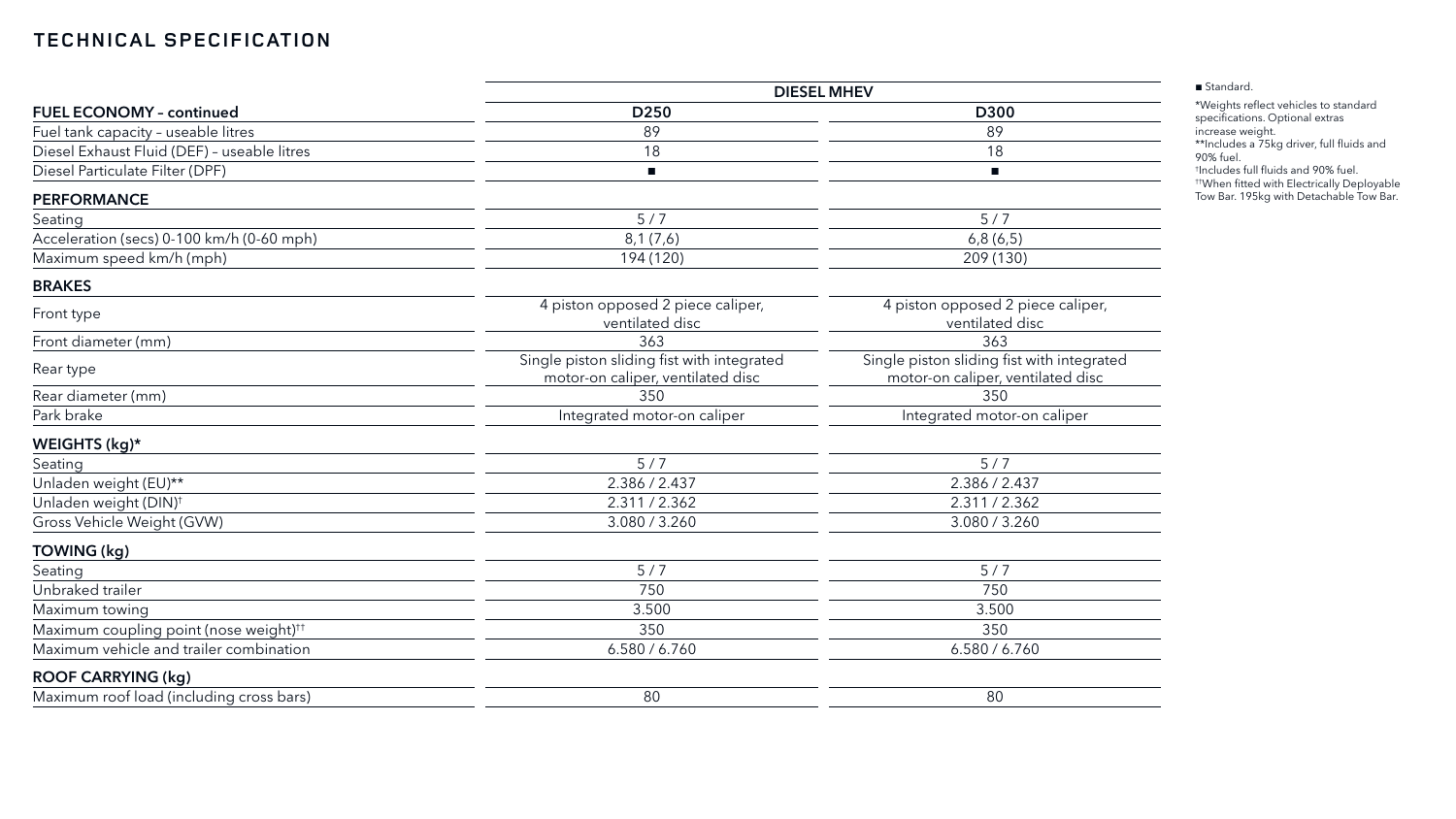|                                                    | <b>DIESEL MHEV</b>                                                              |                                                                                 |  |  |
|----------------------------------------------------|---------------------------------------------------------------------------------|---------------------------------------------------------------------------------|--|--|
| <b>FUEL ECONOMY - continued</b>                    | D <sub>250</sub>                                                                | D300                                                                            |  |  |
| Fuel tank capacity - useable litres                | 89                                                                              | 89                                                                              |  |  |
| Diesel Exhaust Fluid (DEF) - useable litres        | 18                                                                              | 18                                                                              |  |  |
| Diesel Particulate Filter (DPF)                    | $\mathcal{L}_{\mathcal{A}}$                                                     | п                                                                               |  |  |
| <b>PERFORMANCE</b>                                 |                                                                                 |                                                                                 |  |  |
| Seating                                            | 5/7                                                                             | 5/7                                                                             |  |  |
| Acceleration (secs) 0-100 km/h (0-60 mph)          | 8,1(7,6)                                                                        | 6,8(6,5)                                                                        |  |  |
| Maximum speed km/h (mph)                           | 194 (120)                                                                       | 209 (130)                                                                       |  |  |
| <b>BRAKES</b>                                      |                                                                                 |                                                                                 |  |  |
| Front type                                         | 4 piston opposed 2 piece caliper,<br>ventilated disc                            | 4 piston opposed 2 piece caliper,<br>ventilated disc                            |  |  |
| Front diameter (mm)                                | 363                                                                             | 363                                                                             |  |  |
| Rear type                                          | Single piston sliding fist with integrated<br>motor-on caliper, ventilated disc | Single piston sliding fist with integrated<br>motor-on caliper, ventilated disc |  |  |
| Rear diameter (mm)                                 | 350                                                                             | 350                                                                             |  |  |
| Park brake                                         | Integrated motor-on caliper                                                     | Integrated motor-on caliper                                                     |  |  |
| WEIGHTS (kg)*                                      |                                                                                 |                                                                                 |  |  |
| Seating                                            | 5/7                                                                             | 5/7                                                                             |  |  |
| Unladen weight (EU)**                              | 2.386 / 2.437                                                                   | 2.386 / 2.437                                                                   |  |  |
| Unladen weight (DIN) <sup>+</sup>                  | 2.311/2.362                                                                     | 2.311 / 2.362                                                                   |  |  |
| Gross Vehicle Weight (GVW)                         | 3.080 / 3.260                                                                   | 3.080 / 3.260                                                                   |  |  |
| TOWING (kg)                                        |                                                                                 |                                                                                 |  |  |
| Seating                                            | 5/7                                                                             | 5/7                                                                             |  |  |
| Unbraked trailer                                   | 750                                                                             | 750                                                                             |  |  |
| Maximum towing                                     | 3.500                                                                           | 3.500                                                                           |  |  |
| Maximum coupling point (nose weight) <sup>††</sup> | 350                                                                             | 350                                                                             |  |  |
| Maximum vehicle and trailer combination            | 6.580 / 6.760                                                                   | 6.580 / 6.760                                                                   |  |  |
| <b>ROOF CARRYING (kg)</b>                          |                                                                                 |                                                                                 |  |  |
| Maximum roof load (including cross bars)           | 80                                                                              | 80                                                                              |  |  |

■ Standard.

\*Weights reflect vehicles to standard specifications. Optional extras increase weight.

\*\*Includes a 75kg driver, full fluids and 90% fuel.

† Includes full fluids and 90% fuel.

††When fitted with Electrically Deployable Tow Bar. 195kg with Detachable Tow Bar.

# **TECHNICAL SPECIFICATION**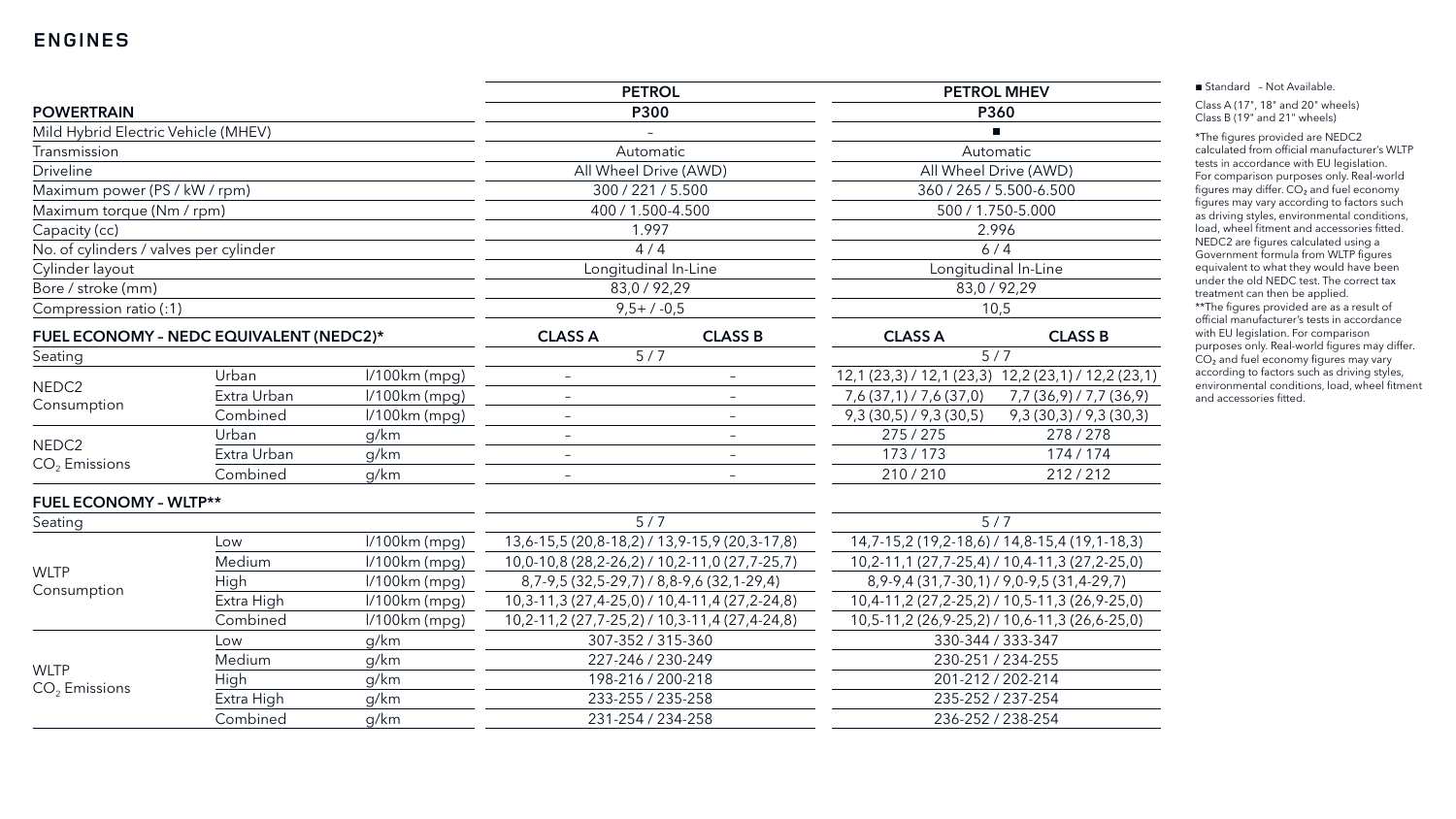|                                         |             |                 | <b>PETROL</b>                                 |                                                 | <b>PETROL MHEV</b>                            |                                                     |
|-----------------------------------------|-------------|-----------------|-----------------------------------------------|-------------------------------------------------|-----------------------------------------------|-----------------------------------------------------|
| <b>POWERTRAIN</b>                       |             | <b>P300</b>     |                                               | P360                                            |                                               |                                                     |
| Mild Hybrid Electric Vehicle (MHEV)     |             |                 |                                               |                                                 |                                               |                                                     |
| Transmission                            |             |                 |                                               | Automatic                                       |                                               | Automatic                                           |
| <b>Driveline</b>                        |             |                 | All Wheel Drive (AWD)                         |                                                 | All Wheel Drive (AWD)                         |                                                     |
| Maximum power (PS / kW / rpm)           |             |                 | 300 / 221 / 5.500                             |                                                 | 360 / 265 / 5.500-6.500                       |                                                     |
| Maximum torque (Nm / rpm)               |             |                 | 400 / 1.500-4.500                             |                                                 |                                               | 500 / 1.750-5.000                                   |
| Capacity (cc)                           |             | 1.997           |                                               |                                                 | 2.996                                         |                                                     |
| No. of cylinders / valves per cylinder  |             |                 |                                               | 4/4                                             | 6/4                                           |                                                     |
| Cylinder layout                         |             |                 |                                               | Longitudinal In-Line                            | Longitudinal In-Line                          |                                                     |
| Bore / stroke (mm)                      |             | 83,0 / 92,29    |                                               | 83,0 / 92,29                                    |                                               |                                                     |
| Compression ratio (:1)                  |             | $9,5+/-0,5$     |                                               | 10,5                                            |                                               |                                                     |
| FUEL ECONOMY - NEDC EQUIVALENT (NEDC2)* |             | <b>CLASS A</b>  | <b>CLASS B</b>                                | <b>CLASS A</b>                                  | <b>CLASS B</b>                                |                                                     |
| Seating                                 |             |                 | 5/7                                           |                                                 | 5/7                                           |                                                     |
| NEDC <sub>2</sub><br>Consumption        | Urban       | $1/100km$ (mpg) | -                                             | $\overline{\phantom{a}}$                        |                                               | 12,1 (23,3) / 12,1 (23,3) 12,2 (23,1) / 12,2 (23,1) |
|                                         | Extra Urban | $1/100km$ (mpg) | $\overline{\phantom{0}}$                      | $\overline{\phantom{m}}$                        | 7,6(37,1)/7,6(37,0)                           | 7,7 (36,9) / 7,7 (36,9)                             |
|                                         | Combined    | $1/100km$ (mpg) | $\overline{\phantom{0}}$                      | $\qquad \qquad -$                               | 9,3(30,5) / 9,3(30,5)                         | 9,3(30,3)/9,3(30,3)                                 |
| NEDC <sub>2</sub>                       | Urban       | g/km            | $\overline{\phantom{0}}$                      | $-$                                             | 275/275                                       | 278/278                                             |
| $CO2$ Emissions                         | Extra Urban | g/km            | $\qquad \qquad -$                             | $-$                                             | 173/173                                       | 174 / 174                                           |
|                                         | Combined    | g/km            | $\overline{\phantom{0}}$                      | $\overline{\phantom{a}}$                        | 210/210                                       | 212/212                                             |
| <b>FUEL ECONOMY - WLTP**</b>            |             |                 |                                               |                                                 |                                               |                                                     |
| Seating                                 |             |                 | 5/7                                           |                                                 | 5/7                                           |                                                     |
|                                         | Low         | $1/100km$ (mpg) | 13,6-15,5 (20,8-18,2) / 13,9-15,9 (20,3-17,8) |                                                 | 14,7-15,2 (19,2-18,6) / 14,8-15,4 (19,1-18,3) |                                                     |
|                                         | Medium      | $1/100km$ (mpg) | 10,0-10,8 (28,2-26,2) / 10,2-11,0 (27,7-25,7) |                                                 | 10,2-11,1 (27,7-25,4) / 10,4-11,3 (27,2-25,0) |                                                     |
| <b>WLTP</b><br>Consumption              | High        | $1/100km$ (mpg) |                                               | 8,7-9,5 (32,5-29,7) / 8,8-9,6 (32,1-29,4)       | $8,9-9,4(31,7-30,1)/9,0-9,5(31,4-29,7)$       |                                                     |
|                                         | Extra High  | $1/100km$ (mpg) |                                               | $10,3-11,3(27,4-25,0)$ / $10,4-11,4(27,2-24,8)$ | 10,4-11,2 (27,2-25,2) / 10,5-11,3 (26,9-25,0) |                                                     |
|                                         | Combined    | $1/100km$ (mpg) |                                               | 10,2-11,2 (27,7-25,2) / 10,3-11,4 (27,4-24,8)   |                                               | $10,5-11,2(26,9-25,2)$ / $10,6-11,3(26,6-25,0)$     |
|                                         | Low         | g/km            |                                               | 307-352 / 315-360                               | 330-344 / 333-347                             |                                                     |
|                                         | Medium      | g/km            | 227-246 / 230-249                             |                                                 | 230-251 / 234-255                             |                                                     |
| <b>WLTP</b><br>$CO2$ Emissions          | High        | g/km            |                                               | 198-216 / 200-218                               | 201-212 / 202-214                             |                                                     |
|                                         | Extra High  | g/km            | 233-255 / 235-258<br>235-252 / 237-254        |                                                 |                                               |                                                     |
|                                         | Combined    | g/km            |                                               | 231-254 / 234-258                               | 236-252 / 238-254                             |                                                     |

■ Standard - Not Available.

Class A (17", 18" and 20" wheels) Class B (19" and 21" wheels)

\*The figures provided are NEDC2 calculated from official manufacturer's WLTP tests in accordance with EU legislation. For comparison purposes only. Real-world figures may differ.  $CO<sub>2</sub>$  and fuel economy figures may vary according to factors such as driving styles, environmental conditions, load, wheel fitment and accessories fitted. NEDC2 are figures calculated using a Government formula from WLTP figures equivalent to what they would have been under the old NEDC test. The correct tax treatment can then be applied. \*\*The figures provided are as a result of official manufacturer's tests in accordance with EU legislation. For comparison purposes only. Real-world figures may differ. CO<sub>2</sub> and fuel economy figures may vary according to factors such as driving styles, environmental conditions, load, wheel fitment and accessories fitted.

# **ENGINES**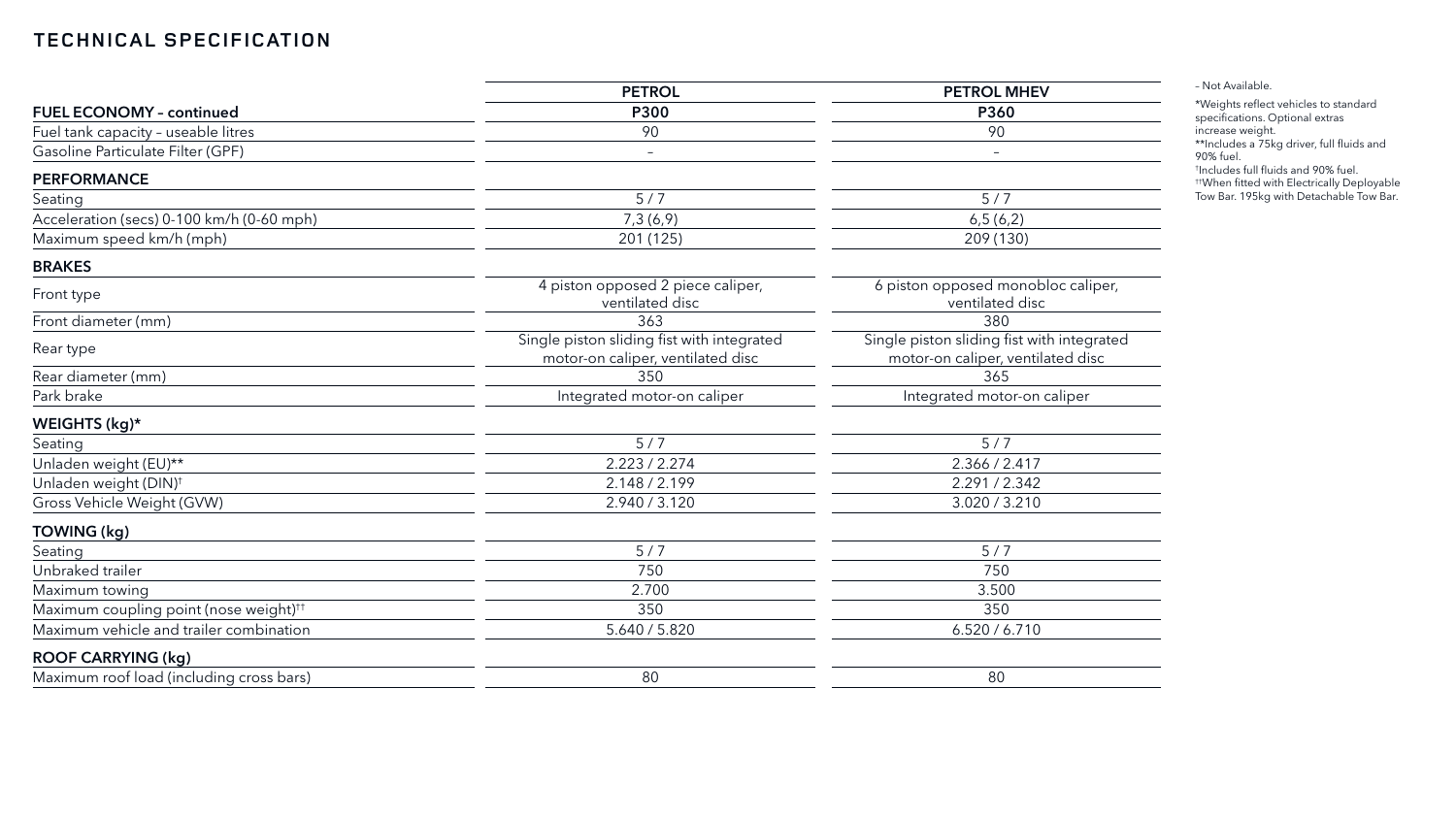|                                                    | <b>PETROL</b>                                                                   | <b>PETROL MHEV</b>                                                              |  |
|----------------------------------------------------|---------------------------------------------------------------------------------|---------------------------------------------------------------------------------|--|
| <b>FUEL ECONOMY - continued</b>                    | <b>P300</b>                                                                     | <b>P360</b>                                                                     |  |
| Fuel tank capacity - useable litres                | 90                                                                              | 90                                                                              |  |
| Gasoline Particulate Filter (GPF)                  | $\overline{\phantom{m}}$                                                        | $\qquad \qquad -$                                                               |  |
| <b>PERFORMANCE</b>                                 |                                                                                 |                                                                                 |  |
| Seating                                            | 5/7                                                                             | 5/7                                                                             |  |
| Acceleration (secs) 0-100 km/h (0-60 mph)          | 7,3(6,9)                                                                        | 6,5(6,2)                                                                        |  |
| Maximum speed km/h (mph)                           | 201 (125)                                                                       | 209 (130)                                                                       |  |
| <b>BRAKES</b>                                      |                                                                                 |                                                                                 |  |
| Front type                                         | 4 piston opposed 2 piece caliper,<br>ventilated disc                            | 6 piston opposed monobloc caliper,<br>ventilated disc                           |  |
| Front diameter (mm)                                | 363                                                                             | 380                                                                             |  |
| Rear type                                          | Single piston sliding fist with integrated<br>motor-on caliper, ventilated disc | Single piston sliding fist with integrated<br>motor-on caliper, ventilated disc |  |
| Rear diameter (mm)                                 | 350                                                                             | 365                                                                             |  |
| Park brake                                         | Integrated motor-on caliper                                                     | Integrated motor-on caliper                                                     |  |
| WEIGHTS (kg)*                                      |                                                                                 |                                                                                 |  |
| Seating                                            | 5/7                                                                             | 5/7                                                                             |  |
| Unladen weight (EU)**                              | 2.223 / 2.274                                                                   | 2.366 / 2.417                                                                   |  |
| Unladen weight (DIN) <sup>+</sup>                  | 2.148 / 2.199                                                                   | 2.291 / 2.342                                                                   |  |
| Gross Vehicle Weight (GVW)                         | 2.940 / 3.120                                                                   | 3.020 / 3.210                                                                   |  |
| TOWING (kg)                                        |                                                                                 |                                                                                 |  |
| Seating                                            | 5/7                                                                             | 5/7                                                                             |  |
| Unbraked trailer                                   | 750                                                                             | 750                                                                             |  |
| Maximum towing                                     | 2.700                                                                           | 3.500                                                                           |  |
| Maximum coupling point (nose weight) <sup>††</sup> | 350                                                                             | 350                                                                             |  |
| Maximum vehicle and trailer combination            | 5.640 / 5.820                                                                   | 6.520 / 6.710                                                                   |  |
| <b>ROOF CARRYING (kg)</b>                          |                                                                                 |                                                                                 |  |
| Maximum roof load (including cross bars)           | 80                                                                              | 80                                                                              |  |
|                                                    |                                                                                 |                                                                                 |  |

– Not Available.

\*Weights reflect vehicles to standard specifications. Optional extras increase weight.

\*\*Includes a 75kg driver, full fluids and 90% fuel.

† Includes full fluids and 90% fuel.

††When fitted with Electrically Deployable Tow Bar. 195kg with Detachable Tow Bar.

# **TECHNICAL SPECIFICATION**